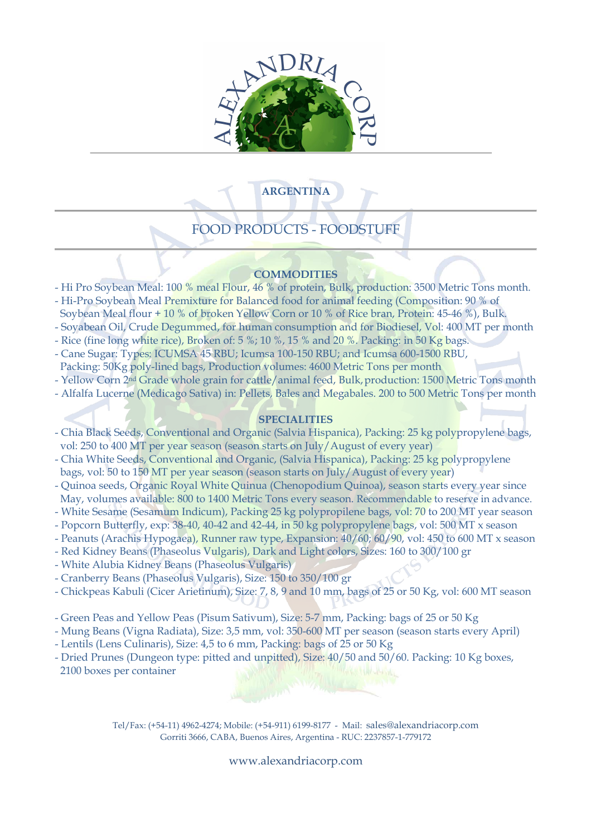

# **ARGENTINA**

# FOOD PRODUCTS - FOODSTUFF

# **COMMODITIES**

- Hi Pro Soybean Meal: 100 % meal Flour, 46 % of protein, Bulk, production: 3500 Metric Tons month.
- Hi-Pro Soybean Meal Premixture for Balanced food for animal feeding (Composition: 90 % of
- Soybean Meal flour + 10 % of broken Yellow Corn or 10 % of Rice bran, Protein: 45-46 %), Bulk.
- Soyabean Oil, Crude Degummed, for human consumption and for Biodiesel, Vol: 400 MT per month
- Rice (fine long white rice), Broken of: 5 %; 10 %, 15 % and 20 %. Packing: in 50 Kg bags.
- Cane Sugar: Types: ICUMSA 45 RBU; Icumsa 100-150 RBU; and Icumsa 600-1500 RBU, Packing: 50Kg poly-lined bags, Production volumes: 4600 Metric Tons per month
- Yellow Corn 2<sup>nd</sup> Grade whole grain for cattle/animal feed, Bulk, production: 1500 Metric Tons month
- Alfalfa Lucerne (Medicago Sativa) in: Pellets, Bales and Megabales. 200 to 500 Metric Tons per month

# **SPECIALITIES**

- Chia Black Seeds, Conventional and Organic (Salvia Hispanica), Packing: 25 kg polypropylene bags, vol: 250 to 400 MT per year season (season starts on July/August of every year)
- Chia White Seeds, Conventional and Organic, (Salvia Hispanica), Packing: 25 kg polypropylene bags, vol: 50 to 150 MT per year season (season starts on July/August of every year)
- Quinoa seeds, Organic Royal White Quinua (Chenopodium Quinoa), season starts every year since May, volumes available: 800 to 1400 Metric Tons every season. Recommendable to reserve in advance.
- White Sesame (Sesamum Indicum), Packing 25 kg polypropilene bags, vol: 70 to 200 MT year season
- Popcorn Butterfly, exp: 38-40, 40-42 and 42-44, in 50 kg polypropylene bags, vol: 500 MT x season
- Peanuts (Arachis Hypogaea), Runner raw type, Expansion: 40/60; 60/90, vol: 450 to 600 MT x season
- Red Kidney Beans (Phaseolus Vulgaris), Dark and Light colors, Sizes: 160 to 300/100 gr
- White Alubia Kidney Beans (Phaseolus Vulgaris)
- Cranberry Beans (Phaseolus Vulgaris), Size: 150 to 350/100 gr
- Chickpeas Kabuli (Cicer Arietinum), Size: 7, 8, 9 and 10 mm, bags of 25 or 50 Kg, vol: 600 MT season
- Green Peas and Yellow Peas (Pisum Sativum), Size: 5-7 mm, Packing: bags of 25 or 50 Kg
- Mung Beans (Vigna Radiata), Size: 3,5 mm, vol: 350-600 MT per season (season starts every April)
- Lentils (Lens Culinaris), Size: 4,5 to 6 mm, Packing: bags of 25 or 50 Kg
- Dried Prunes (Dungeon type: pitted and unpitted), Size: 40/50 and 50/60. Packing: 10 Kg boxes, 2100 boxes per container

Tel/Fax: (+54-11) 4962-4274; Mobile: (+54-911) 6199-8177 - Mail: sales@alexandriacorp.com Gorriti 3666, CABA, Buenos Aires, Argentina - RUC: 2237857-1-779172

#### www.alexandriacorp.com